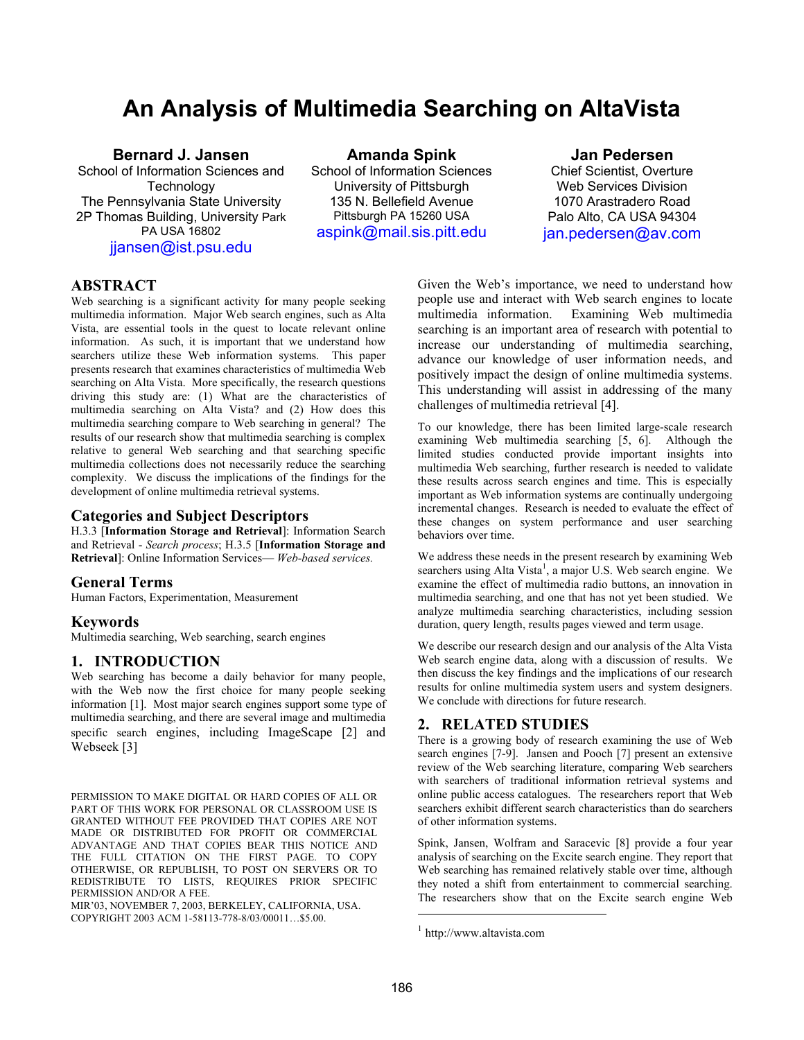# **An Analysis of Multimedia Searching on AltaVista**

# **Bernard J. Jansen**

School of Information Sciences and **Technology** The Pennsylvania State University 2P Thomas Building, University Park PA USA 16802 [jjansen@ist.psu.edu](mailto:jjansen@ist.psu.edu)

**Amanda Spink**  School of Information Sciences University of Pittsburgh 135 N. Bellefield Avenue Pittsburgh PA 15260 USA [aspink@mail.sis.pitt.edu](mailto:spink@mail.sis.pitt.edu)

## **Jan Pedersen**

Chief Scientist, Overture Web Services Division 1070 Arastradero Road Palo Alto, CA USA 94304 [jan.pedersen@av.com](mailto:jan.pedersen@av.com)

# **ABSTRACT**

Web searching is a significant activity for many people seeking multimedia information. Major Web search engines, such as Alta Vista, are essential tools in the quest to locate relevant online information. As such, it is important that we understand how searchers utilize these Web information systems. This paper presents research that examines characteristics of multimedia Web searching on Alta Vista. More specifically, the research questions driving this study are: (1) What are the characteristics of multimedia searching on Alta Vista? and (2) How does this multimedia searching compare to Web searching in general? The results of our research show that multimedia searching is complex relative to general Web searching and that searching specific multimedia collections does not necessarily reduce the searching complexity. We discuss the implications of the findings for the development of online multimedia retrieval systems.

## **Categories and Subject Descriptors**

H.3.3 [**Information Storage and Retrieval**]: Information Search and Retrieval - *Search process*; H.3.5 [**Information Storage and Retrieval**]: Online Information Services— *Web-based services.*

## **General Terms**

Human Factors, Experimentation, Measurement

## **Keywords**

Multimedia searching, Web searching, search engines

## **1. INTRODUCTION**

Web searching has become a daily behavior for many people, with the Web now the first choice for many people seeking information [1]. Most major search engines support some type of multimedia searching, and there are several image and multimedia specific search engines, including ImageScape [2] and Webseek [3]

PERMISSION TO MAKE DIGITAL OR HARD COPIES OF ALL OR PART OF THIS WORK FOR PERSONAL OR CLASSROOM USE IS GRANTED WITHOUT FEE PROVIDED THAT COPIES ARE NOT MADE OR DISTRIBUTED FOR PROFIT OR COMMERCIAL ADVANTAGE AND THAT COPIES BEAR THIS NOTICE AND THE FULL CITATION ON THE FIRST PAGE. TO COPY OTHERWISE, OR REPUBLISH, TO POST ON SERVERS OR TO REDISTRIBUTE TO LISTS, REQUIRES PRIOR SPECIFIC PERMISSION AND/OR A FEE.

MIR'03, NOVEMBER 7, 2003, BERKELEY, CALIFORNIA, USA. COPYRIGHT 2003 ACM 1-58113-778-8/03/00011…\$5.00.

Given the Web's importance, we need to understand how people use and interact with Web search engines to locate multimedia information. Examining Web multimedia searching is an important area of research with potential to increase our understanding of multimedia searching, advance our knowledge of user information needs, and positively impact the design of online multimedia systems. This understanding will assist in addressing of the many challenges of multimedia retrieval [4].

To our knowledge, there has been limited large-scale research examining Web multimedia searching [5, 6]. Although the limited studies conducted provide important insights into multimedia Web searching, further research is needed to validate these results across search engines and time. This is especially important as Web information systems are continually undergoing incremental changes. Research is needed to evaluate the effect of these changes on system performance and user searching behaviors over time.

We address these needs in the present research by examining Web searchers using Alta Vista<sup>[1](#page-0-0)</sup>, a major U.S. Web search engine. We examine the effect of multimedia radio buttons, an innovation in multimedia searching, and one that has not yet been studied. We analyze multimedia searching characteristics, including session duration, query length, results pages viewed and term usage.

We describe our research design and our analysis of the Alta Vista Web search engine data, along with a discussion of results. We then discuss the key findings and the implications of our research results for online multimedia system users and system designers. We conclude with directions for future research.

## **2. RELATED STUDIES**

There is a growing body of research examining the use of Web search engines [7-9]. Jansen and Pooch [7] present an extensive review of the Web searching literature, comparing Web searchers with searchers of traditional information retrieval systems and online public access catalogues. The researchers report that Web searchers exhibit different search characteristics than do searchers of other information systems.

Spink, Jansen, Wolfram and Saracevic [8] provide a four year analysis of searching on the Excite search engine. They report that Web searching has remained relatively stable over time, although they noted a shift from entertainment to commercial searching. The researchers show that on the Excite search engine Web

 $\overline{a}$ 

<span id="page-0-0"></span><sup>1</sup> http://www.altavista.com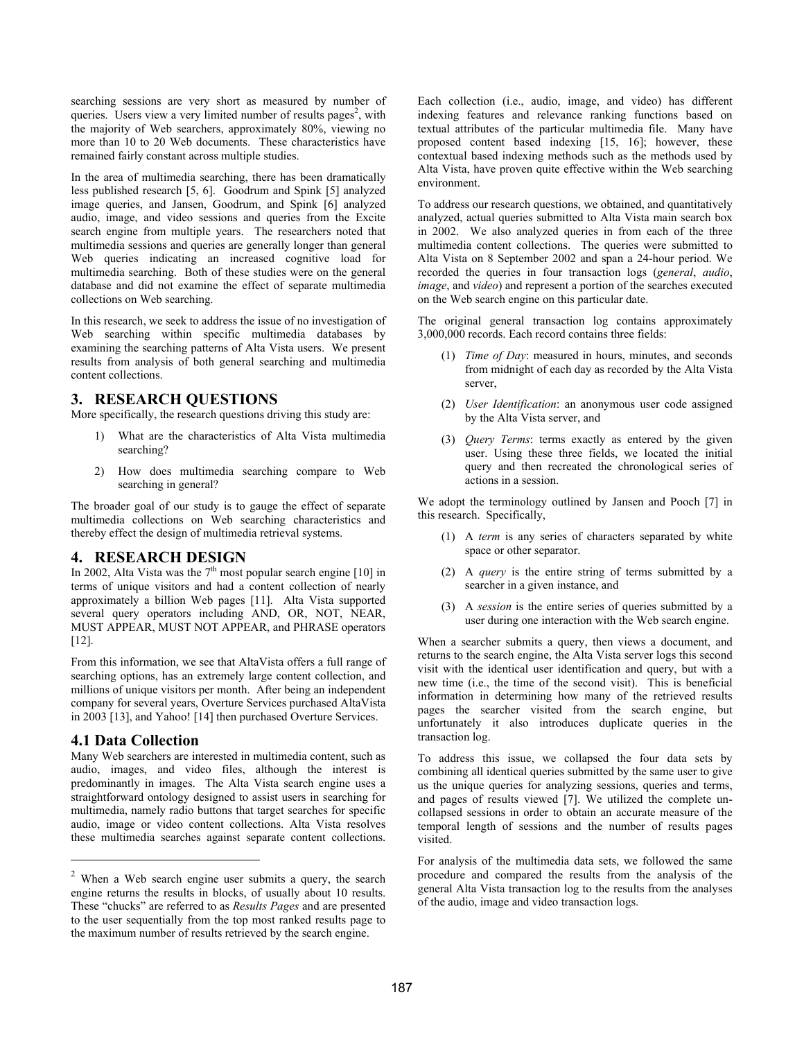searching sessions are very short as measured by number of queries. Users view a very limited number of results pages<sup>2</sup>, with the majority of Web searchers, approximately 80%, viewing no more than 10 to 20 Web documents. These characteristics have remained fairly constant across multiple studies.

In the area of multimedia searching, there has been dramatically less published research [5, 6]. Goodrum and Spink [5] analyzed image queries, and Jansen, Goodrum, and Spink [6] analyzed audio, image, and video sessions and queries from the Excite search engine from multiple years. The researchers noted that multimedia sessions and queries are generally longer than general Web queries indicating an increased cognitive load for multimedia searching. Both of these studies were on the general database and did not examine the effect of separate multimedia collections on Web searching.

In this research, we seek to address the issue of no investigation of Web searching within specific multimedia databases by examining the searching patterns of Alta Vista users. We present results from analysis of both general searching and multimedia content collections.

# **3. RESEARCH QUESTIONS**

More specifically, the research questions driving this study are:

- 1) What are the characteristics of Alta Vista multimedia searching?
- 2) How does multimedia searching compare to Web searching in general?

The broader goal of our study is to gauge the effect of separate multimedia collections on Web searching characteristics and thereby effect the design of multimedia retrieval systems.

# **4. RESEARCH DESIGN**

In 2002, Alta Vista was the  $7<sup>th</sup>$  most popular search engine [10] in terms of unique visitors and had a content collection of nearly approximately a billion Web pages [11]. Alta Vista supported several query operators including AND, OR, NOT, NEAR, MUST APPEAR, MUST NOT APPEAR, and PHRASE operators [12].

From this information, we see that AltaVista offers a full range of searching options, has an extremely large content collection, and millions of unique visitors per month. After being an independent company for several years, Overture Services purchased AltaVista in 2003 [13], and Yahoo! [14] then purchased Overture Services.

# **4.1 Data Collection**

 $\overline{a}$ 

Many Web searchers are interested in multimedia content, such as audio, images, and video files, although the interest is predominantly in images. The Alta Vista search engine uses a straightforward ontology designed to assist users in searching for multimedia, namely radio buttons that target searches for specific audio, image or video content collections. Alta Vista resolves these multimedia searches against separate content collections.

Each collection (i.e., audio, image, and video) has different indexing features and relevance ranking functions based on textual attributes of the particular multimedia file. Many have proposed content based indexing [15, 16]; however, these contextual based indexing methods such as the methods used by Alta Vista, have proven quite effective within the Web searching environment.

To address our research questions, we obtained, and quantitatively analyzed, actual queries submitted to Alta Vista main search box in 2002. We also analyzed queries in from each of the three multimedia content collections. The queries were submitted to Alta Vista on 8 September 2002 and span a 24-hour period. We recorded the queries in four transaction logs (*general*, *audio*, *image*, and *video*) and represent a portion of the searches executed on the Web search engine on this particular date.

The original general transaction log contains approximately 3,000,000 records. Each record contains three fields:

- (1) *Time of Day*: measured in hours, minutes, and seconds from midnight of each day as recorded by the Alta Vista server,
- (2) *User Identification*: an anonymous user code assigned by the Alta Vista server, and
- (3) *Query Terms*: terms exactly as entered by the given user. Using these three fields, we located the initial query and then recreated the chronological series of actions in a session.

We adopt the terminology outlined by Jansen and Pooch [7] in this research. Specifically,

- (1) A *term* is any series of characters separated by white space or other separator.
- (2) A *query* is the entire string of terms submitted by a searcher in a given instance, and
- (3) A *session* is the entire series of queries submitted by a user during one interaction with the Web search engine.

When a searcher submits a query, then views a document, and returns to the search engine, the Alta Vista server logs this second visit with the identical user identification and query, but with a new time (i.e., the time of the second visit). This is beneficial information in determining how many of the retrieved results pages the searcher visited from the search engine, but unfortunately it also introduces duplicate queries in the transaction log.

To address this issue, we collapsed the four data sets by combining all identical queries submitted by the same user to give us the unique queries for analyzing sessions, queries and terms, and pages of results viewed [7]. We utilized the complete uncollapsed sessions in order to obtain an accurate measure of the temporal length of sessions and the number of results pages visited.

For analysis of the multimedia data sets, we followed the same procedure and compared the results from the analysis of the general Alta Vista transaction log to the results from the analyses of the audio, image and video transaction logs.

<span id="page-1-0"></span><sup>2</sup> When a Web search engine user submits a query, the search engine returns the results in blocks, of usually about 10 results. These "chucks" are referred to as *Results Pages* and are presented to the user sequentially from the top most ranked results page to the maximum number of results retrieved by the search engine.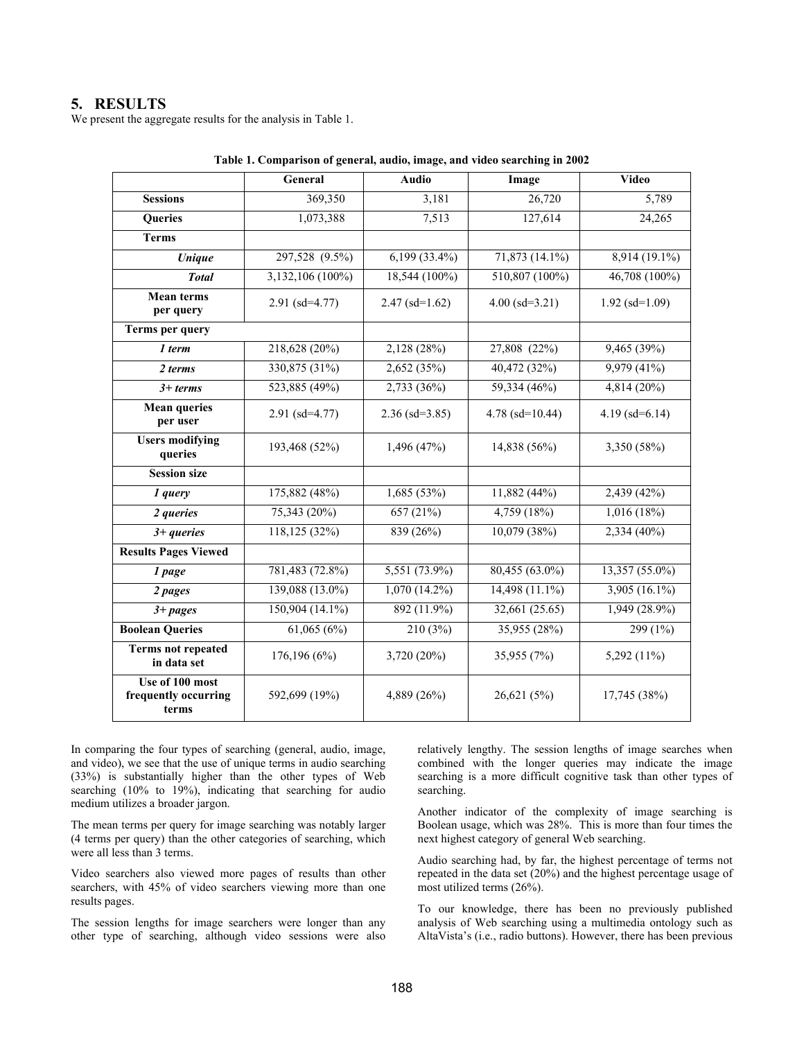# **5. RESULTS**

We present the aggregate results for the analysis in Table 1.

|                                                  | General           | <b>Audio</b>         | Image               | <b>Video</b>               |
|--------------------------------------------------|-------------------|----------------------|---------------------|----------------------------|
| <b>Sessions</b>                                  | 369,350           | 3,181                | 26,720              | 5,789                      |
| <b>Queries</b>                                   | 1,073,388         | 7,513                | 127,614             | 24,265                     |
| <b>Terms</b>                                     |                   |                      |                     |                            |
| $\overline{Unique}$                              | 297,528 (9.5%)    | $6,199(33.4\%)$      | 71,873 (14.1%)      | $8,914(19.1\%)$            |
| <b>Total</b>                                     | 3,132,106 (100%)  | 18,544 (100%)        | 510,807 (100%)      | $\overline{46,708}$ (100%) |
| <b>Mean terms</b><br>per query                   | $2.91$ (sd=4.77)  | $2.47$ (sd=1.62)     | $4.00$ (sd=3.21)    | $1.92$ (sd= $1.09$ )       |
| Terms per query                                  |                   |                      |                     |                            |
| 1 term                                           | 218,628 (20%)     | 2,128(28%)           | 27,808 (22%)        | 9,465(39%)                 |
| 2 terms                                          | 330,875 (31%)     | 2,652 (35%)          | 40,472 (32%)        | 9,979 (41%)                |
| $3+$ terms                                       | 523,885 (49%)     | 2,733(36%)           | 59,334 (46%)        | 4,814(20%)                 |
| <b>Mean queries</b><br>per user                  | $2.91$ (sd=4.77)  | $2.36$ (sd= $3.85$ ) | 4.78 (sd= $10.44$ ) | $4.19$ (sd=6.14)           |
| <b>Users modifying</b><br>queries                | 193,468 (52%)     | 1,496(47%)           | 14,838 (56%)        | 3,350 (58%)                |
| <b>Session size</b>                              |                   |                      |                     |                            |
| 1 query                                          | 175,882 (48%)     | 1,685(53%)           | 11,882 (44%)        | 2,439 (42%)                |
| 2 queries                                        | 75,343 (20%)      | 657(21%)             | 4,759(18%)          | 1,016(18%)                 |
| $3 + queries$                                    | 118,125 (32%)     | 839 (26%)            | 10,079 (38%)        | 2,334 (40%)                |
| <b>Results Pages Viewed</b>                      |                   |                      |                     |                            |
| 1 page                                           | 781,483 (72.8%)   | $5,551(73.9\%)$      | $80,455(63.0\%)$    | $13,357(55.0\%)$           |
| 2 pages                                          | 139,088 (13.0%)   | $1,070(14.2\%)$      | 14,498 (11.1%)      | 3,905 (16.1%)              |
| $3 + pages$                                      | $150,904(14.1\%)$ | 892 (11.9%)          | 32,661(25.65)       | $1,949(28.9\%)$            |
| <b>Boolean Queries</b>                           | 61,065(6%)        | 210(3%)              | 35,955 (28%)        | 299 (1%)                   |
| <b>Terms not repeated</b><br>in data set         | 176,196 (6%)      | 3,720 (20%)          | 35,955 (7%)         | 5,292 (11%)                |
| Use of 100 most<br>frequently occurring<br>terms | 592,699 (19%)     | 4,889 (26%)          | 26,621(5%)          | 17,745 (38%)               |

| Table 1. Comparison of general, audio, image, and video searching in 2002 |  |  |  |  |
|---------------------------------------------------------------------------|--|--|--|--|
|                                                                           |  |  |  |  |

In comparing the four types of searching (general, audio, image, and video), we see that the use of unique terms in audio searching (33%) is substantially higher than the other types of Web searching (10% to 19%), indicating that searching for audio medium utilizes a broader jargon.

The mean terms per query for image searching was notably larger (4 terms per query) than the other categories of searching, which were all less than 3 terms.

Video searchers also viewed more pages of results than other searchers, with 45% of video searchers viewing more than one results pages.

The session lengths for image searchers were longer than any other type of searching, although video sessions were also relatively lengthy. The session lengths of image searches when combined with the longer queries may indicate the image searching is a more difficult cognitive task than other types of searching.

Another indicator of the complexity of image searching is Boolean usage, which was 28%. This is more than four times the next highest category of general Web searching.

Audio searching had, by far, the highest percentage of terms not repeated in the data set (20%) and the highest percentage usage of most utilized terms (26%).

To our knowledge, there has been no previously published analysis of Web searching using a multimedia ontology such as AltaVista's (i.e., radio buttons). However, there has been previous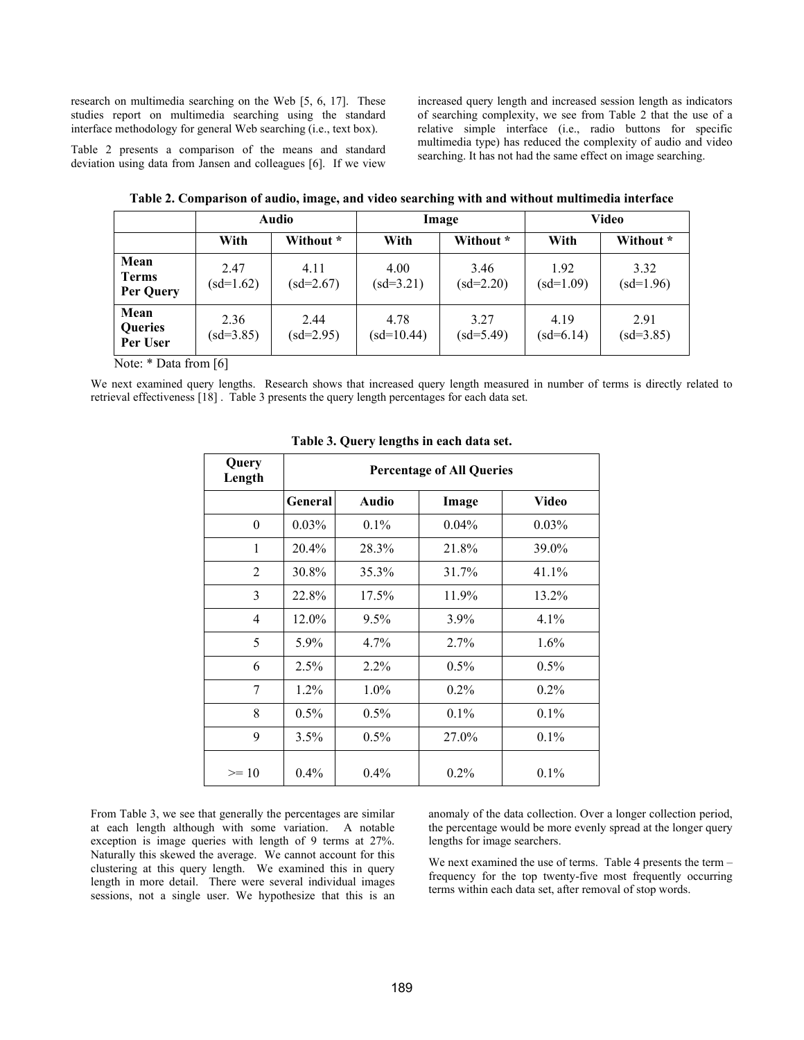research on multimedia searching on the Web [5, 6, 17]. These studies report on multimedia searching using the standard interface methodology for general Web searching (i.e., text box).

increased query length and increased session length as indicators of searching complexity, we see from Table 2 that the use of a relative simple interface (i.e., radio buttons for specific multimedia type) has reduced the complexity of audio and video searching. It has not had the same effect on image searching.

Table 2 presents a comparison of the means and standard deviation using data from Jansen and colleagues [6]. If we view

|                                   | Audio               |                     |                      | Image               | Video               |                     |
|-----------------------------------|---------------------|---------------------|----------------------|---------------------|---------------------|---------------------|
|                                   | With                | Without *           | With                 | Without *           | With                | Without *           |
| Mean<br><b>Terms</b><br>Per Query | 2.47<br>$(sd=1.62)$ | 4.11<br>$(sd=2.67)$ | 4.00<br>$(sd=3.21)$  | 3.46<br>$(sd=2.20)$ | 1.92<br>$(sd=1.09)$ | 3.32<br>$(sd=1.96)$ |
| Mean<br>Queries<br>Per User       | 2.36<br>$(sd=3.85)$ | 2.44<br>$(sd=2.95)$ | 4.78<br>$(sd=10.44)$ | 3.27<br>$(sd=5.49)$ | 4.19<br>$(sd=6.14)$ | 2.91<br>$(sd=3.85)$ |

**Table 2. Comparison of audio, image, and video searching with and without multimedia interface** 

Note: \* Data from [6]

We next examined query lengths. Research shows that increased query length measured in number of terms is directly related to retrieval effectiveness [18] . Table 3 presents the query length percentages for each data set.

| Query<br>Length | <b>Percentage of All Queries</b> |              |          |              |  |  |
|-----------------|----------------------------------|--------------|----------|--------------|--|--|
|                 | <b>General</b>                   | <b>Audio</b> | Image    | <b>Video</b> |  |  |
| $\theta$        | 0.03%                            | $0.1\%$      | $0.04\%$ | $0.03\%$     |  |  |
| 1               | 20.4%                            | 28.3%        | 21.8%    | 39.0%        |  |  |
| $\overline{2}$  | 30.8%                            | 35.3%        | 31.7%    | 41.1%        |  |  |
| 3               | 22.8%                            | 17.5%        | 11.9%    | 13.2%        |  |  |
| 4               | 12.0%                            | $9.5\%$      | 3.9%     | 4.1%         |  |  |
| 5               | 5.9%                             | 4.7%         | 2.7%     | $1.6\%$      |  |  |
| 6               | 2.5%                             | 2.2%         | 0.5%     | 0.5%         |  |  |
| 7               | 1.2%                             | $1.0\%$      | 0.2%     | $0.2\%$      |  |  |
| 8               | 0.5%                             | $0.5\%$      | 0.1%     | 0.1%         |  |  |
| 9               | 3.5%                             | 0.5%         | 27.0%    | $0.1\%$      |  |  |
| $>= 10$         | 0.4%                             | 0.4%         | 0.2%     | 0.1%         |  |  |

**Table 3. Query lengths in each data set.** 

From Table 3, we see that generally the percentages are similar at each length although with some variation. A notable exception is image queries with length of 9 terms at 27%. Naturally this skewed the average. We cannot account for this clustering at this query length. We examined this in query length in more detail. There were several individual images sessions, not a single user. We hypothesize that this is an

anomaly of the data collection. Over a longer collection period, the percentage would be more evenly spread at the longer query lengths for image searchers.

We next examined the use of terms. Table 4 presents the term – frequency for the top twenty-five most frequently occurring terms within each data set, after removal of stop words.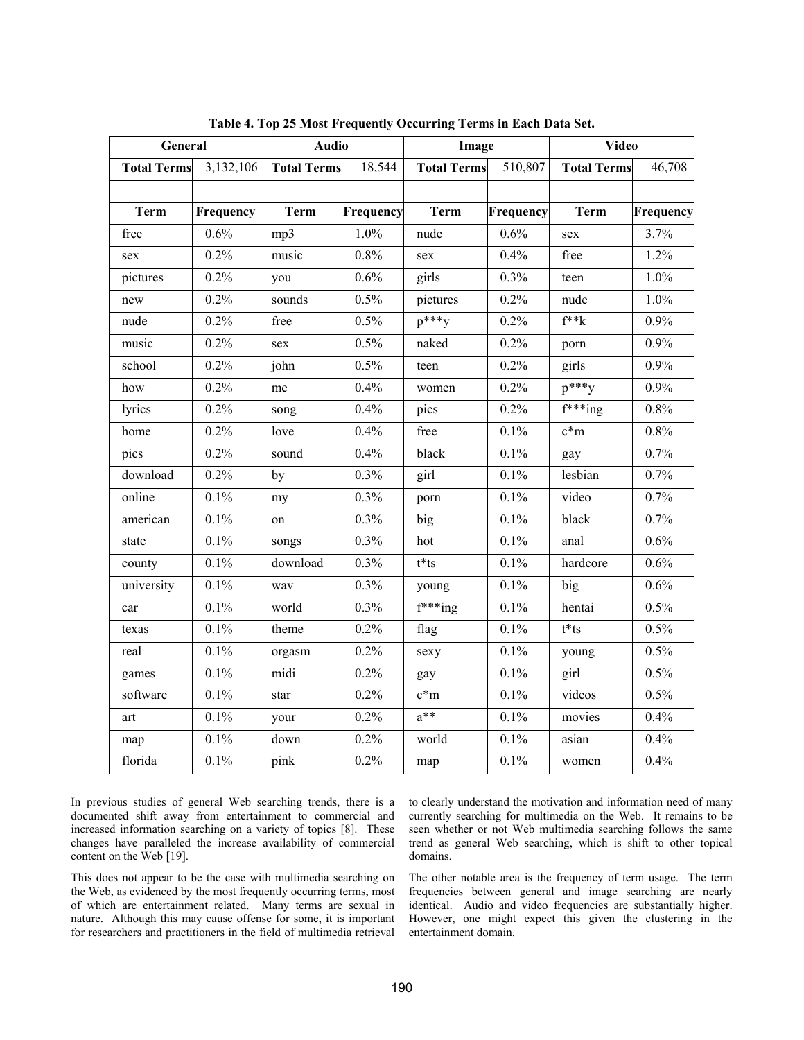| General            |                        | <b>Audio</b>       |           | Image                    |           | <b>Video</b>          |           |
|--------------------|------------------------|--------------------|-----------|--------------------------|-----------|-----------------------|-----------|
| <b>Total Terms</b> | $\overline{3,}132,106$ | <b>Total Terms</b> | 18,544    | <b>Total Terms</b>       | 510,807   | <b>Total Terms</b>    | 46,708    |
|                    |                        |                    |           |                          |           |                       |           |
| <b>Term</b>        | Frequency              | <b>Term</b>        | Frequency | <b>Term</b>              | Frequency | <b>Term</b>           | Frequency |
| free               | 0.6%                   | mp3                | 1.0%      | nude                     | 0.6%      | sex                   | 3.7%      |
| sex                | 0.2%                   | music              | 0.8%      | sex                      | 0.4%      | free                  | 1.2%      |
| pictures           | 0.2%                   | you                | 0.6%      | girls                    | 0.3%      | teen                  | $1.0\%$   |
| new                | 0.2%                   | sounds             | 0.5%      | pictures                 | 0.2%      | nude                  | 1.0%      |
| nude               | 0.2%                   | free               | 0.5%      | $p^{***}y$               | 0.2%      | $f^**k$               | 0.9%      |
| music              | 0.2%                   | sex                | 0.5%      | naked                    | 0.2%      | porn                  | 0.9%      |
| school             | 0.2%                   | john               | 0.5%      | teen                     | 0.2%      | girls                 | 0.9%      |
| how                | 0.2%                   | me                 | 0.4%      | women                    | 0.2%      | $p^{***}y$            | 0.9%      |
| lyrics             | 0.2%                   | song               | 0.4%      | pics                     | 0.2%      | $f^{***}$ ing         | 0.8%      |
| home               | 0.2%                   | love               | 0.4%      | free                     | 0.1%      | $c*m$                 | 0.8%      |
| pics               | 0.2%                   | sound              | 0.4%      | black                    | 0.1%      | gay                   | 0.7%      |
| download           | 0.2%                   | by                 | 0.3%      | girl                     | 0.1%      | lesbian               | 0.7%      |
| online             | 0.1%                   | my                 | 0.3%      | porn                     | 0.1%      | video                 | 0.7%      |
| american           | $0.1\%$                | on                 | 0.3%      | big                      | 0.1%      | black                 | 0.7%      |
| state              | 0.1%                   | songs              | 0.3%      | hot                      | 0.1%      | anal                  | 0.6%      |
| county             | 0.1%                   | download           | 0.3%      | $t*ts$                   | 0.1%      | hardcore              | 0.6%      |
| university         | 0.1%                   | way                | 0.3%      | young                    | 0.1%      | big                   | 0.6%      |
| car                | 0.1%                   | world              | 0.3%      | $\overline{f^{***}}$ ing | 0.1%      | hentai                | 0.5%      |
| texas              | 0.1%                   | theme              | 0.2%      | flag                     | 0.1%      | $t$ <sup>*</sup> $ts$ | 0.5%      |
| real               | 0.1%                   | orgasm             | 0.2%      | sexy                     | 0.1%      | young                 | 0.5%      |
| games              | 0.1%                   | midi               | 0.2%      | gay                      | 0.1%      | girl                  | 0.5%      |
| software           | 0.1%                   | star               | 0.2%      | $c*m$                    | 0.1%      | videos                | 0.5%      |
| art                | 0.1%                   | your               | 0.2%      | $a^{**}$                 | 0.1%      | movies                | 0.4%      |
| map                | 0.1%                   | down               | 0.2%      | world                    | 0.1%      | asian                 | 0.4%      |
| florida            | 0.1%                   | pink               | 0.2%      | map                      | 0.1%      | women                 | 0.4%      |

**Table 4. Top 25 Most Frequently Occurring Terms in Each Data Set.** 

In previous studies of general Web searching trends, there is a documented shift away from entertainment to commercial and increased information searching on a variety of topics [8]. These changes have paralleled the increase availability of commercial content on the Web [19].

This does not appear to be the case with multimedia searching on the Web, as evidenced by the most frequently occurring terms, most of which are entertainment related. Many terms are sexual in nature. Although this may cause offense for some, it is important for researchers and practitioners in the field of multimedia retrieval to clearly understand the motivation and information need of many currently searching for multimedia on the Web. It remains to be seen whether or not Web multimedia searching follows the same trend as general Web searching, which is shift to other topical domains.

The other notable area is the frequency of term usage. The term frequencies between general and image searching are nearly identical. Audio and video frequencies are substantially higher. However, one might expect this given the clustering in the entertainment domain.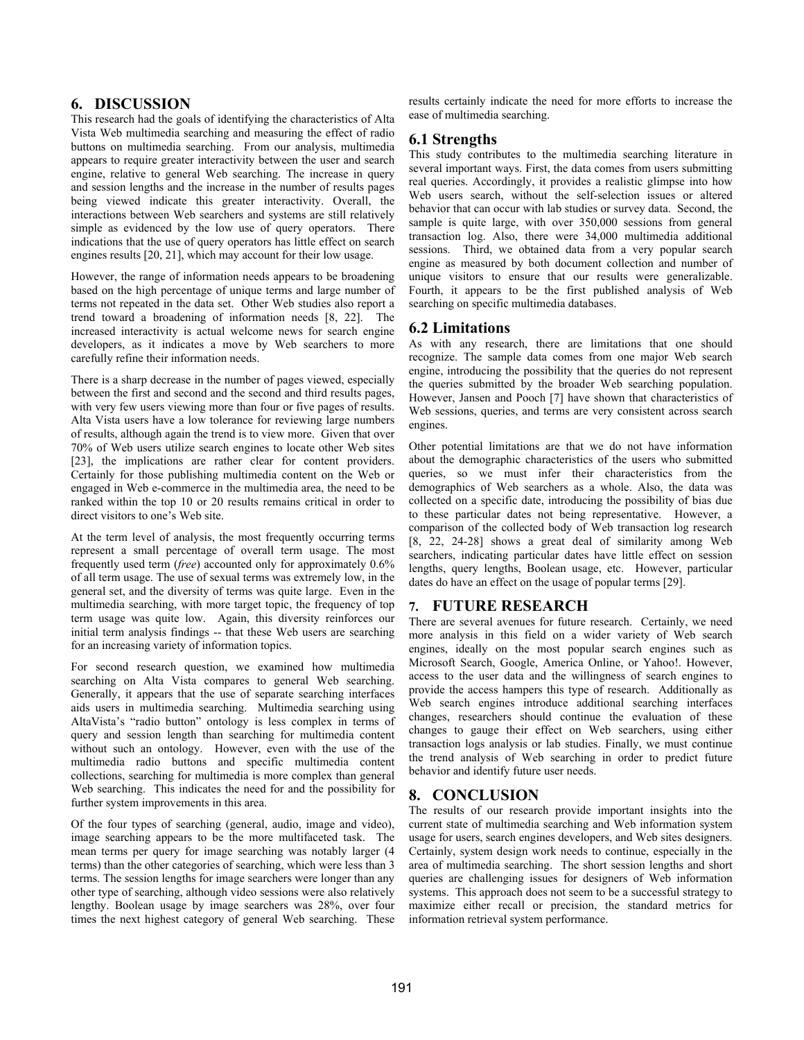# **6. DISCUSSION**

This research had the goals of identifying the characteristics of Alta Vista Web multimedia searching and measuring the effect of radio buttons on multimedia searching. From our analysis, multimedia appears to require greater interactivity between the user and search engine, relative to general Web searching. The increase in query and session lengths and the increase in the number of results pages being viewed indicate this greater interactivity. Overall, the interactions between Web searchers and systems are still relatively simple as evidenced by the low use of query operators. There indications that the use of query operators has little effect on search engines results [20, 21], which may account for their low usage.

However, the range of information needs appears to be broadening based on the high percentage of unique terms and large number of terms not repeated in the data set. Other Web studies also report a trend toward a broadening of information needs [8, 22]. The increased interactivity is actual welcome news for search engine developers, as it indicates a move by Web searchers to more carefully refine their information needs.

There is a sharp decrease in the number of pages viewed, especially between the first and second and the second and third results pages, with very few users viewing more than four or five pages of results. Alta Vista users have a low tolerance for reviewing large numbers of results, although again the trend is to view more. Given that over 70% of Web users utilize search engines to locate other Web sites [23], the implications are rather clear for content providers. Certainly for those publishing multimedia content on the Web or engaged in Web e-commerce in the multimedia area, the need to be ranked within the top 10 or 20 results remains critical in order to direct visitors to one's Web site.

At the term level of analysis, the most frequently occurring terms represent a small percentage of overall term usage. The most frequently used term (*free*) accounted only for approximately 0.6% of all term usage. The use of sexual terms was extremely low, in the general set, and the diversity of terms was quite large. Even in the multimedia searching, with more target topic, the frequency of top term usage was quite low. Again, this diversity reinforces our initial term analysis findings -- that these Web users are searching for an increasing variety of information topics.

For second research question, we examined how multimedia searching on Alta Vista compares to general Web searching. Generally, it appears that the use of separate searching interfaces aids users in multimedia searching. Multimedia searching using AltaVista's "radio button" ontology is less complex in terms of query and session length than searching for multimedia content without such an ontology. However, even with the use of the multimedia radio buttons and specific multimedia content collections, searching for multimedia is more complex than general Web searching. This indicates the need for and the possibility for further system improvements in this area.

Of the four types of searching (general, audio, image and video), image searching appears to be the more multifaceted task. The mean terms per query for image searching was notably larger (4 terms) than the other categories of searching, which were less than 3 terms. The session lengths for image searchers were longer than any other type of searching, although video sessions were also relatively lengthy. Boolean usage by image searchers was 28%, over four times the next highest category of general Web searching. These results certainly indicate the need for more efforts to increase the ease of multimedia searching.

## **6.1 Strengths**

This study contributes to the multimedia searching literature in several important ways. First, the data comes from users submitting real queries. Accordingly, it provides a realistic glimpse into how Web users search, without the self-selection issues or altered behavior that can occur with lab studies or survey data. Second, the sample is quite large, with over 350,000 sessions from general transaction log. Also, there were 34,000 multimedia additional sessions. Third, we obtained data from a very popular search engine as measured by both document collection and number of unique visitors to ensure that our results were generalizable. Fourth, it appears to be the first published analysis of Web searching on specific multimedia databases.

#### **6.2 Limitations**

As with any research, there are limitations that one should recognize. The sample data comes from one major Web search engine, introducing the possibility that the queries do not represent the queries submitted by the broader Web searching population. However, Jansen and Pooch [7] have shown that characteristics of Web sessions, queries, and terms are very consistent across search engines.

Other potential limitations are that we do not have information about the demographic characteristics of the users who submitted queries, so we must infer their characteristics from the demographics of Web searchers as a whole. Also, the data was collected on a specific date, introducing the possibility of bias due to these particular dates not being representative. However, a comparison of the collected body of Web transaction log research [8, 22, 24-28] shows a great deal of similarity among Web searchers, indicating particular dates have little effect on session lengths, query lengths, Boolean usage, etc. However, particular dates do have an effect on the usage of popular terms [29].

## **7. FUTURE RESEARCH**

There are several avenues for future research. Certainly, we need more analysis in this field on a wider variety of Web search engines, ideally on the most popular search engines such as Microsoft Search, Google, America Online, or Yahoo!. However, access to the user data and the willingness of search engines to provide the access hampers this type of research. Additionally as Web search engines introduce additional searching interfaces changes, researchers should continue the evaluation of these changes to gauge their effect on Web searchers, using either transaction logs analysis or lab studies. Finally, we must continue the trend analysis of Web searching in order to predict future behavior and identify future user needs.

## **8. CONCLUSION**

The results of our research provide important insights into the current state of multimedia searching and Web information system usage for users, search engines developers, and Web sites designers. Certainly, system design work needs to continue, especially in the area of multimedia searching. The short session lengths and short queries are challenging issues for designers of Web information systems. This approach does not seem to be a successful strategy to maximize either recall or precision, the standard metrics for information retrieval system performance.